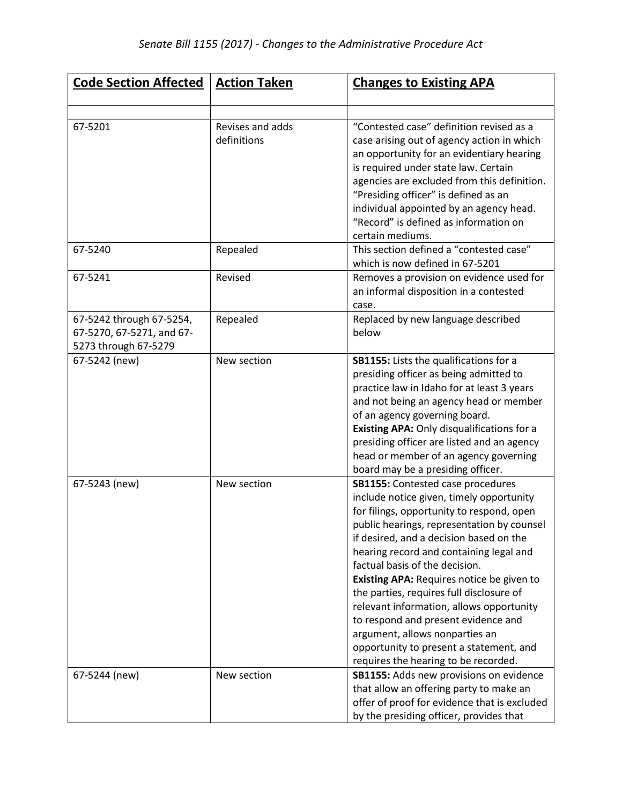| <b>Code Section Affected</b>                                                  | <b>Action Taken</b>             | <b>Changes to Existing APA</b>                                                                                                                                                                                                                                                                                                                                                                                                                                                                                                                                                                           |
|-------------------------------------------------------------------------------|---------------------------------|----------------------------------------------------------------------------------------------------------------------------------------------------------------------------------------------------------------------------------------------------------------------------------------------------------------------------------------------------------------------------------------------------------------------------------------------------------------------------------------------------------------------------------------------------------------------------------------------------------|
|                                                                               |                                 |                                                                                                                                                                                                                                                                                                                                                                                                                                                                                                                                                                                                          |
| 67-5201                                                                       | Revises and adds<br>definitions | "Contested case" definition revised as a<br>case arising out of agency action in which<br>an opportunity for an evidentiary hearing<br>is required under state law. Certain<br>agencies are excluded from this definition.<br>"Presiding officer" is defined as an<br>individual appointed by an agency head.<br>"Record" is defined as information on<br>certain mediums.                                                                                                                                                                                                                               |
| 67-5240                                                                       | Repealed                        | This section defined a "contested case"<br>which is now defined in 67-5201                                                                                                                                                                                                                                                                                                                                                                                                                                                                                                                               |
| 67-5241                                                                       | Revised                         | Removes a provision on evidence used for<br>an informal disposition in a contested<br>case.                                                                                                                                                                                                                                                                                                                                                                                                                                                                                                              |
| 67-5242 through 67-5254,<br>67-5270, 67-5271, and 67-<br>5273 through 67-5279 | Repealed                        | Replaced by new language described<br>below                                                                                                                                                                                                                                                                                                                                                                                                                                                                                                                                                              |
| 67-5242 (new)                                                                 | New section                     | SB1155: Lists the qualifications for a<br>presiding officer as being admitted to<br>practice law in Idaho for at least 3 years<br>and not being an agency head or member<br>of an agency governing board.<br>Existing APA: Only disqualifications for a<br>presiding officer are listed and an agency<br>head or member of an agency governing<br>board may be a presiding officer.                                                                                                                                                                                                                      |
| 67-5243 (new)                                                                 | New section                     | <b>SB1155:</b> Contested case procedures<br>include notice given, timely opportunity<br>for filings, opportunity to respond, open<br>public hearings, representation by counsel<br>if desired, and a decision based on the<br>hearing record and containing legal and<br>factual basis of the decision.<br>Existing APA: Requires notice be given to<br>the parties, requires full disclosure of<br>relevant information, allows opportunity<br>to respond and present evidence and<br>argument, allows nonparties an<br>opportunity to present a statement, and<br>requires the hearing to be recorded. |
| 67-5244 (new)                                                                 | New section                     | SB1155: Adds new provisions on evidence<br>that allow an offering party to make an<br>offer of proof for evidence that is excluded<br>by the presiding officer, provides that                                                                                                                                                                                                                                                                                                                                                                                                                            |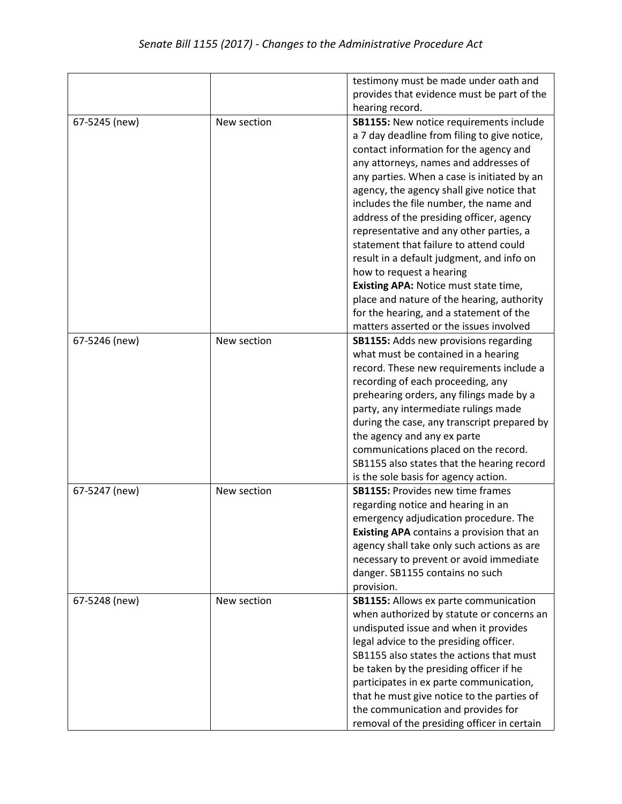|               |             | testimony must be made under oath and            |
|---------------|-------------|--------------------------------------------------|
|               |             | provides that evidence must be part of the       |
|               |             |                                                  |
|               |             | hearing record.                                  |
| 67-5245 (new) | New section | SB1155: New notice requirements include          |
|               |             | a 7 day deadline from filing to give notice,     |
|               |             | contact information for the agency and           |
|               |             | any attorneys, names and addresses of            |
|               |             | any parties. When a case is initiated by an      |
|               |             | agency, the agency shall give notice that        |
|               |             | includes the file number, the name and           |
|               |             | address of the presiding officer, agency         |
|               |             | representative and any other parties, a          |
|               |             | statement that failure to attend could           |
|               |             | result in a default judgment, and info on        |
|               |             | how to request a hearing                         |
|               |             |                                                  |
|               |             | Existing APA: Notice must state time,            |
|               |             | place and nature of the hearing, authority       |
|               |             | for the hearing, and a statement of the          |
|               |             | matters asserted or the issues involved          |
| 67-5246 (new) | New section | <b>SB1155: Adds new provisions regarding</b>     |
|               |             | what must be contained in a hearing              |
|               |             | record. These new requirements include a         |
|               |             | recording of each proceeding, any                |
|               |             | prehearing orders, any filings made by a         |
|               |             | party, any intermediate rulings made             |
|               |             | during the case, any transcript prepared by      |
|               |             | the agency and any ex parte                      |
|               |             | communications placed on the record.             |
|               |             | SB1155 also states that the hearing record       |
|               |             | is the sole basis for agency action.             |
| 67-5247 (new) | New section | <b>SB1155: Provides new time frames</b>          |
|               |             | regarding notice and hearing in an               |
|               |             | emergency adjudication procedure. The            |
|               |             | <b>Existing APA</b> contains a provision that an |
|               |             | agency shall take only such actions as are       |
|               |             | necessary to prevent or avoid immediate          |
|               |             |                                                  |
|               |             | danger. SB1155 contains no such                  |
|               |             | provision.                                       |
| 67-5248 (new) | New section | <b>SB1155:</b> Allows ex parte communication     |
|               |             | when authorized by statute or concerns an        |
|               |             | undisputed issue and when it provides            |
|               |             | legal advice to the presiding officer.           |
|               |             | SB1155 also states the actions that must         |
|               |             | be taken by the presiding officer if he          |
|               |             | participates in ex parte communication,          |
|               |             | that he must give notice to the parties of       |
|               |             | the communication and provides for               |
|               |             | removal of the presiding officer in certain      |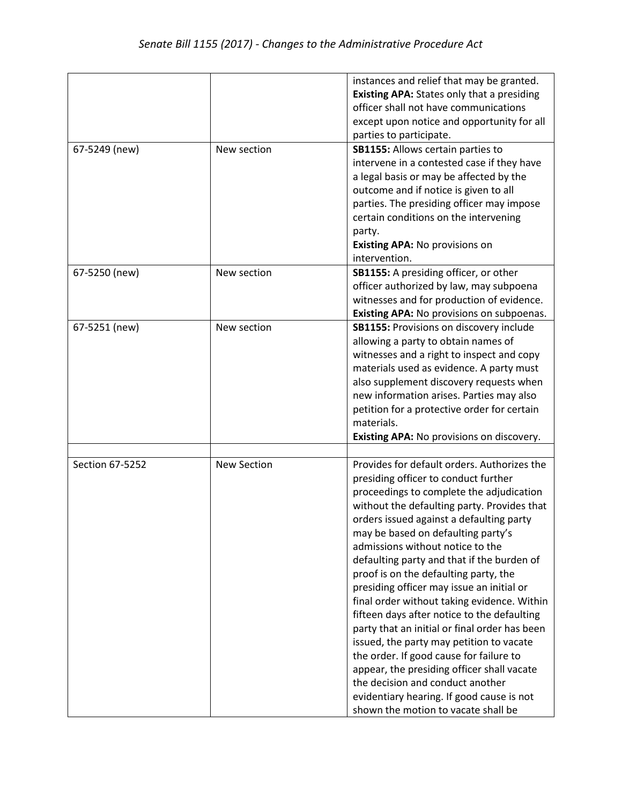|                 |                    | instances and relief that may be granted.<br><b>Existing APA: States only that a presiding</b><br>officer shall not have communications<br>except upon notice and opportunity for all<br>parties to participate.                                                                                                                                                                                                                                                                                                                                                                                                                                                                                                                                                                                                                                     |
|-----------------|--------------------|------------------------------------------------------------------------------------------------------------------------------------------------------------------------------------------------------------------------------------------------------------------------------------------------------------------------------------------------------------------------------------------------------------------------------------------------------------------------------------------------------------------------------------------------------------------------------------------------------------------------------------------------------------------------------------------------------------------------------------------------------------------------------------------------------------------------------------------------------|
| 67-5249 (new)   | New section        | SB1155: Allows certain parties to<br>intervene in a contested case if they have<br>a legal basis or may be affected by the<br>outcome and if notice is given to all<br>parties. The presiding officer may impose<br>certain conditions on the intervening<br>party.<br>Existing APA: No provisions on<br>intervention.                                                                                                                                                                                                                                                                                                                                                                                                                                                                                                                               |
| 67-5250 (new)   | New section        | SB1155: A presiding officer, or other<br>officer authorized by law, may subpoena<br>witnesses and for production of evidence.<br>Existing APA: No provisions on subpoenas.                                                                                                                                                                                                                                                                                                                                                                                                                                                                                                                                                                                                                                                                           |
| 67-5251 (new)   | New section        | <b>SB1155: Provisions on discovery include</b><br>allowing a party to obtain names of<br>witnesses and a right to inspect and copy<br>materials used as evidence. A party must<br>also supplement discovery requests when<br>new information arises. Parties may also<br>petition for a protective order for certain<br>materials.<br>Existing APA: No provisions on discovery.                                                                                                                                                                                                                                                                                                                                                                                                                                                                      |
|                 |                    |                                                                                                                                                                                                                                                                                                                                                                                                                                                                                                                                                                                                                                                                                                                                                                                                                                                      |
| Section 67-5252 | <b>New Section</b> | Provides for default orders. Authorizes the<br>presiding officer to conduct further<br>proceedings to complete the adjudication<br>without the defaulting party. Provides that<br>orders issued against a defaulting party<br>may be based on defaulting party's<br>admissions without notice to the<br>defaulting party and that if the burden of<br>proof is on the defaulting party, the<br>presiding officer may issue an initial or<br>final order without taking evidence. Within<br>fifteen days after notice to the defaulting<br>party that an initial or final order has been<br>issued, the party may petition to vacate<br>the order. If good cause for failure to<br>appear, the presiding officer shall vacate<br>the decision and conduct another<br>evidentiary hearing. If good cause is not<br>shown the motion to vacate shall be |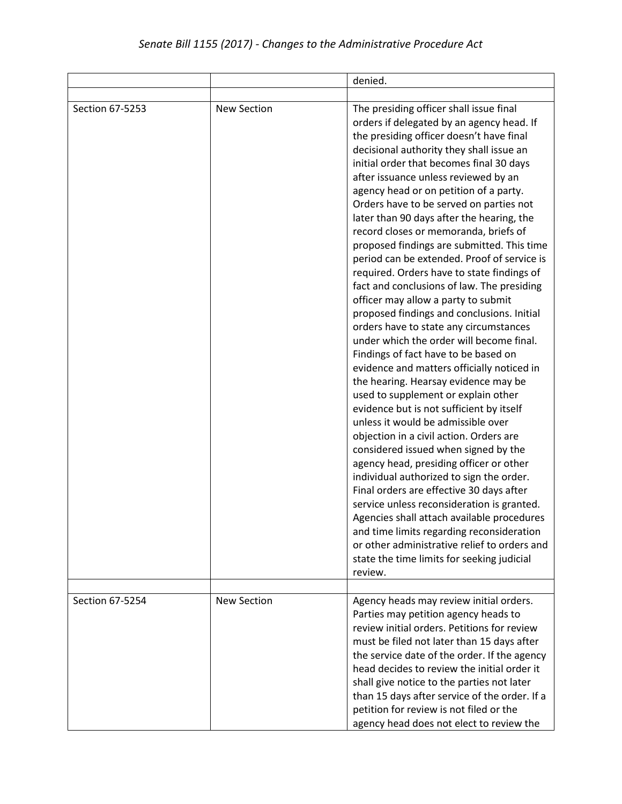|                 |                    | denied.                                                                                                                                                                                                                                                                                                                                                                                                                                                                                                                                                                                                                                                                                                                                                                                                                                                                                                                                                                                                                                                                                                                                                                                                                                                                                                                                                                                                                                                                                                                                        |
|-----------------|--------------------|------------------------------------------------------------------------------------------------------------------------------------------------------------------------------------------------------------------------------------------------------------------------------------------------------------------------------------------------------------------------------------------------------------------------------------------------------------------------------------------------------------------------------------------------------------------------------------------------------------------------------------------------------------------------------------------------------------------------------------------------------------------------------------------------------------------------------------------------------------------------------------------------------------------------------------------------------------------------------------------------------------------------------------------------------------------------------------------------------------------------------------------------------------------------------------------------------------------------------------------------------------------------------------------------------------------------------------------------------------------------------------------------------------------------------------------------------------------------------------------------------------------------------------------------|
|                 |                    |                                                                                                                                                                                                                                                                                                                                                                                                                                                                                                                                                                                                                                                                                                                                                                                                                                                                                                                                                                                                                                                                                                                                                                                                                                                                                                                                                                                                                                                                                                                                                |
| Section 67-5253 | <b>New Section</b> | The presiding officer shall issue final<br>orders if delegated by an agency head. If<br>the presiding officer doesn't have final<br>decisional authority they shall issue an<br>initial order that becomes final 30 days<br>after issuance unless reviewed by an<br>agency head or on petition of a party.<br>Orders have to be served on parties not<br>later than 90 days after the hearing, the<br>record closes or memoranda, briefs of<br>proposed findings are submitted. This time<br>period can be extended. Proof of service is<br>required. Orders have to state findings of<br>fact and conclusions of law. The presiding<br>officer may allow a party to submit<br>proposed findings and conclusions. Initial<br>orders have to state any circumstances<br>under which the order will become final.<br>Findings of fact have to be based on<br>evidence and matters officially noticed in<br>the hearing. Hearsay evidence may be<br>used to supplement or explain other<br>evidence but is not sufficient by itself<br>unless it would be admissible over<br>objection in a civil action. Orders are<br>considered issued when signed by the<br>agency head, presiding officer or other<br>individual authorized to sign the order.<br>Final orders are effective 30 days after<br>service unless reconsideration is granted.<br>Agencies shall attach available procedures<br>and time limits regarding reconsideration<br>or other administrative relief to orders and<br>state the time limits for seeking judicial<br>review. |
| Section 67-5254 | <b>New Section</b> | Agency heads may review initial orders.<br>Parties may petition agency heads to<br>review initial orders. Petitions for review<br>must be filed not later than 15 days after<br>the service date of the order. If the agency<br>head decides to review the initial order it<br>shall give notice to the parties not later<br>than 15 days after service of the order. If a<br>petition for review is not filed or the<br>agency head does not elect to review the                                                                                                                                                                                                                                                                                                                                                                                                                                                                                                                                                                                                                                                                                                                                                                                                                                                                                                                                                                                                                                                                              |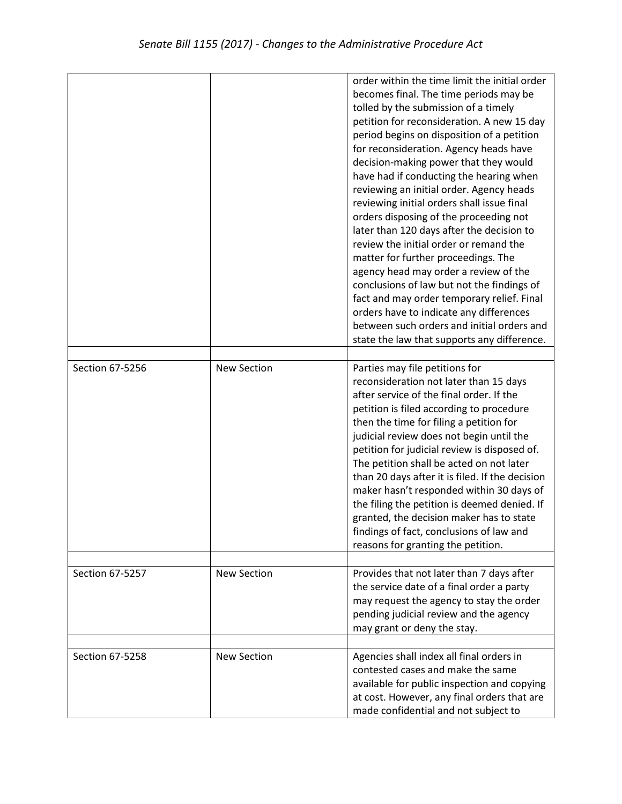|                 |                    | order within the time limit the initial order<br>becomes final. The time periods may be<br>tolled by the submission of a timely<br>petition for reconsideration. A new 15 day<br>period begins on disposition of a petition<br>for reconsideration. Agency heads have<br>decision-making power that they would<br>have had if conducting the hearing when<br>reviewing an initial order. Agency heads<br>reviewing initial orders shall issue final<br>orders disposing of the proceeding not<br>later than 120 days after the decision to<br>review the initial order or remand the<br>matter for further proceedings. The<br>agency head may order a review of the<br>conclusions of law but not the findings of<br>fact and may order temporary relief. Final<br>orders have to indicate any differences<br>between such orders and initial orders and<br>state the law that supports any difference. |
|-----------------|--------------------|----------------------------------------------------------------------------------------------------------------------------------------------------------------------------------------------------------------------------------------------------------------------------------------------------------------------------------------------------------------------------------------------------------------------------------------------------------------------------------------------------------------------------------------------------------------------------------------------------------------------------------------------------------------------------------------------------------------------------------------------------------------------------------------------------------------------------------------------------------------------------------------------------------|
|                 |                    |                                                                                                                                                                                                                                                                                                                                                                                                                                                                                                                                                                                                                                                                                                                                                                                                                                                                                                          |
| Section 67-5256 | <b>New Section</b> | Parties may file petitions for<br>reconsideration not later than 15 days<br>after service of the final order. If the<br>petition is filed according to procedure<br>then the time for filing a petition for<br>judicial review does not begin until the<br>petition for judicial review is disposed of.<br>The petition shall be acted on not later<br>than 20 days after it is filed. If the decision<br>maker hasn't responded within 30 days of<br>the filing the petition is deemed denied. If<br>granted, the decision maker has to state<br>findings of fact, conclusions of law and<br>reasons for granting the petition.                                                                                                                                                                                                                                                                         |
| Section 67-5257 |                    |                                                                                                                                                                                                                                                                                                                                                                                                                                                                                                                                                                                                                                                                                                                                                                                                                                                                                                          |
|                 | <b>New Section</b> | Provides that not later than 7 days after<br>the service date of a final order a party<br>may request the agency to stay the order<br>pending judicial review and the agency<br>may grant or deny the stay.                                                                                                                                                                                                                                                                                                                                                                                                                                                                                                                                                                                                                                                                                              |
| Section 67-5258 | <b>New Section</b> | Agencies shall index all final orders in<br>contested cases and make the same<br>available for public inspection and copying<br>at cost. However, any final orders that are<br>made confidential and not subject to                                                                                                                                                                                                                                                                                                                                                                                                                                                                                                                                                                                                                                                                                      |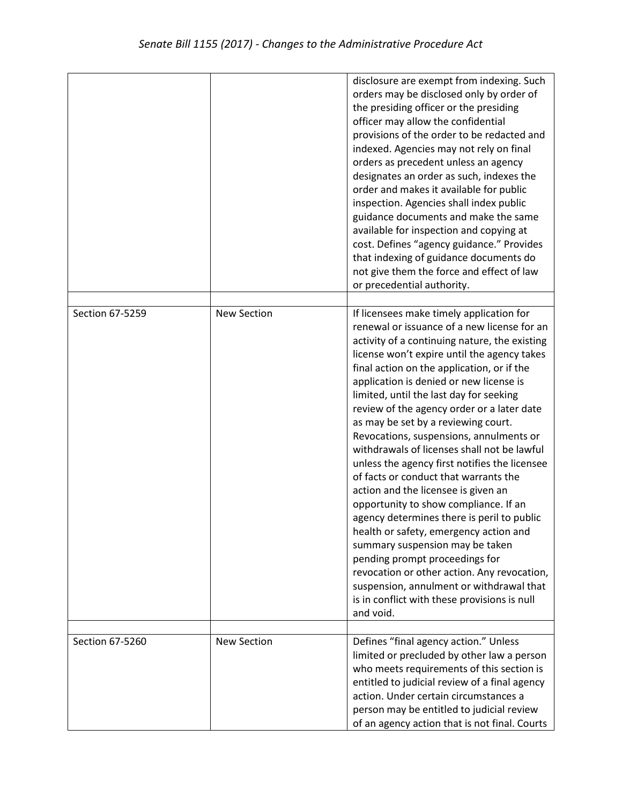|                 |                    | disclosure are exempt from indexing. Such<br>orders may be disclosed only by order of<br>the presiding officer or the presiding<br>officer may allow the confidential<br>provisions of the order to be redacted and<br>indexed. Agencies may not rely on final<br>orders as precedent unless an agency<br>designates an order as such, indexes the<br>order and makes it available for public<br>inspection. Agencies shall index public<br>guidance documents and make the same<br>available for inspection and copying at<br>cost. Defines "agency guidance." Provides<br>that indexing of guidance documents do<br>not give them the force and effect of law<br>or precedential authority.                                                                                                                                                                                                                                                                                                             |
|-----------------|--------------------|-----------------------------------------------------------------------------------------------------------------------------------------------------------------------------------------------------------------------------------------------------------------------------------------------------------------------------------------------------------------------------------------------------------------------------------------------------------------------------------------------------------------------------------------------------------------------------------------------------------------------------------------------------------------------------------------------------------------------------------------------------------------------------------------------------------------------------------------------------------------------------------------------------------------------------------------------------------------------------------------------------------|
| Section 67-5259 | <b>New Section</b> | If licensees make timely application for<br>renewal or issuance of a new license for an<br>activity of a continuing nature, the existing<br>license won't expire until the agency takes<br>final action on the application, or if the<br>application is denied or new license is<br>limited, until the last day for seeking<br>review of the agency order or a later date<br>as may be set by a reviewing court.<br>Revocations, suspensions, annulments or<br>withdrawals of licenses shall not be lawful<br>unless the agency first notifies the licensee<br>of facts or conduct that warrants the<br>action and the licensee is given an<br>opportunity to show compliance. If an<br>agency determines there is peril to public<br>health or safety, emergency action and<br>summary suspension may be taken<br>pending prompt proceedings for<br>revocation or other action. Any revocation,<br>suspension, annulment or withdrawal that<br>is in conflict with these provisions is null<br>and void. |
| Section 67-5260 | <b>New Section</b> | Defines "final agency action." Unless<br>limited or precluded by other law a person<br>who meets requirements of this section is<br>entitled to judicial review of a final agency<br>action. Under certain circumstances a<br>person may be entitled to judicial review<br>of an agency action that is not final. Courts                                                                                                                                                                                                                                                                                                                                                                                                                                                                                                                                                                                                                                                                                  |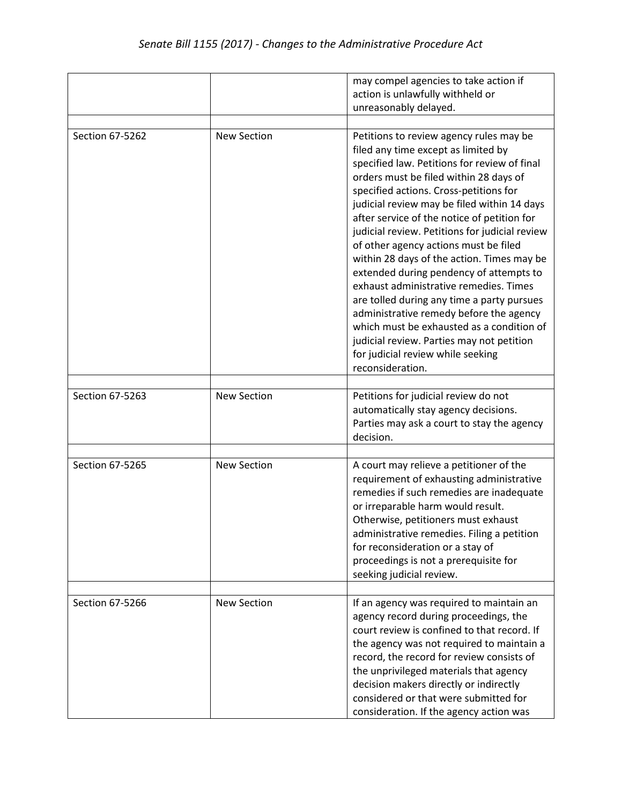|                 |                    | may compel agencies to take action if<br>action is unlawfully withheld or<br>unreasonably delayed.                                                                                                                                                                                                                                                                                                                                                                                                                                                                                                                                                                                                                                                                                         |
|-----------------|--------------------|--------------------------------------------------------------------------------------------------------------------------------------------------------------------------------------------------------------------------------------------------------------------------------------------------------------------------------------------------------------------------------------------------------------------------------------------------------------------------------------------------------------------------------------------------------------------------------------------------------------------------------------------------------------------------------------------------------------------------------------------------------------------------------------------|
| Section 67-5262 | <b>New Section</b> | Petitions to review agency rules may be<br>filed any time except as limited by<br>specified law. Petitions for review of final<br>orders must be filed within 28 days of<br>specified actions. Cross-petitions for<br>judicial review may be filed within 14 days<br>after service of the notice of petition for<br>judicial review. Petitions for judicial review<br>of other agency actions must be filed<br>within 28 days of the action. Times may be<br>extended during pendency of attempts to<br>exhaust administrative remedies. Times<br>are tolled during any time a party pursues<br>administrative remedy before the agency<br>which must be exhausted as a condition of<br>judicial review. Parties may not petition<br>for judicial review while seeking<br>reconsideration. |
| Section 67-5263 | <b>New Section</b> | Petitions for judicial review do not<br>automatically stay agency decisions.<br>Parties may ask a court to stay the agency<br>decision.                                                                                                                                                                                                                                                                                                                                                                                                                                                                                                                                                                                                                                                    |
| Section 67-5265 | <b>New Section</b> | A court may relieve a petitioner of the<br>requirement of exhausting administrative<br>remedies if such remedies are inadequate<br>or irreparable harm would result.<br>Otherwise, petitioners must exhaust<br>administrative remedies. Filing a petition<br>for reconsideration or a stay of<br>proceedings is not a prerequisite for<br>seeking judicial review.                                                                                                                                                                                                                                                                                                                                                                                                                         |
| Section 67-5266 | <b>New Section</b> | If an agency was required to maintain an<br>agency record during proceedings, the<br>court review is confined to that record. If<br>the agency was not required to maintain a<br>record, the record for review consists of<br>the unprivileged materials that agency<br>decision makers directly or indirectly<br>considered or that were submitted for<br>consideration. If the agency action was                                                                                                                                                                                                                                                                                                                                                                                         |